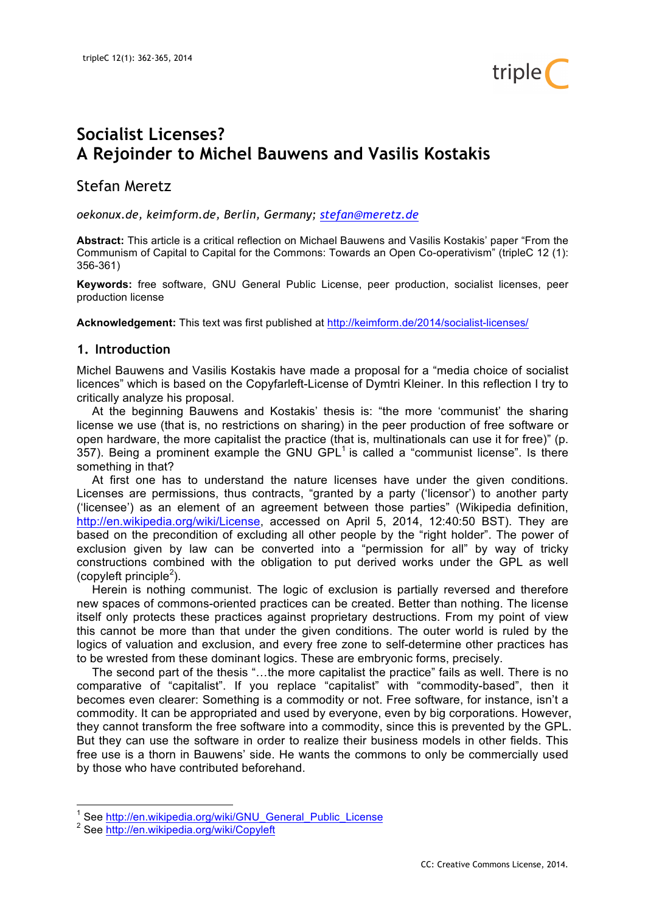

# **Socialist Licenses? A Rejoinder to Michel Bauwens and Vasilis Kostakis**

Stefan Meretz

*oekonux.de, keimform.de, Berlin, Germany; stefan@meretz.de*

**Abstract:** This article is a critical reflection on Michael Bauwens and Vasilis Kostakis' paper "From the Communism of Capital to Capital for the Commons: Towards an Open Co-operativism" (tripleC 12 (1): 356-361)

**Keywords:** free software, GNU General Public License, peer production, socialist licenses, peer production license

**Acknowledgement:** This text was first published at http://keimform.de/2014/socialist-licenses/

#### **1. Introduction**

Michel Bauwens and Vasilis Kostakis have made a proposal for a "media choice of socialist licences" which is based on the Copyfarleft-License of Dymtri Kleiner. In this reflection I try to critically analyze his proposal.

At the beginning Bauwens and Kostakis' thesis is: "the more 'communist' the sharing license we use (that is, no restrictions on sharing) in the peer production of free software or open hardware, the more capitalist the practice (that is, multinationals can use it for free)" (p. 357). Being a prominent example the GNU GPL $<sup>1</sup>$  is called a "communist license". Is there</sup> something in that?

At first one has to understand the nature licenses have under the given conditions. Licenses are permissions, thus contracts, "granted by a party ('licensor') to another party ('licensee') as an element of an agreement between those parties" (Wikipedia definition, http://en.wikipedia.org/wiki/License, accessed on April 5, 2014, 12:40:50 BST). They are based on the precondition of excluding all other people by the "right holder". The power of exclusion given by law can be converted into a "permission for all" by way of tricky constructions combined with the obligation to put derived works under the GPL as well (copyleft principle<sup>2</sup>).

Herein is nothing communist. The logic of exclusion is partially reversed and therefore new spaces of commons-oriented practices can be created. Better than nothing. The license itself only protects these practices against proprietary destructions. From my point of view this cannot be more than that under the given conditions. The outer world is ruled by the logics of valuation and exclusion, and every free zone to self-determine other practices has to be wrested from these dominant logics. These are embryonic forms, precisely.

The second part of the thesis "…the more capitalist the practice" fails as well. There is no comparative of "capitalist". If you replace "capitalist" with "commodity-based", then it becomes even clearer: Something is a commodity or not. Free software, for instance, isn't a commodity. It can be appropriated and used by everyone, even by big corporations. However, they cannot transform the free software into a commodity, since this is prevented by the GPL. But they can use the software in order to realize their business models in other fields. This free use is a thorn in Bauwens' side. He wants the commons to only be commercially used by those who have contributed beforehand.

<sup>&</sup>lt;sup>1</sup> See http://en.wikipedia.org/wiki/GNU\_General\_Public\_License <sup>2</sup> See http://en.wikipedia.org/wiki/Copyleft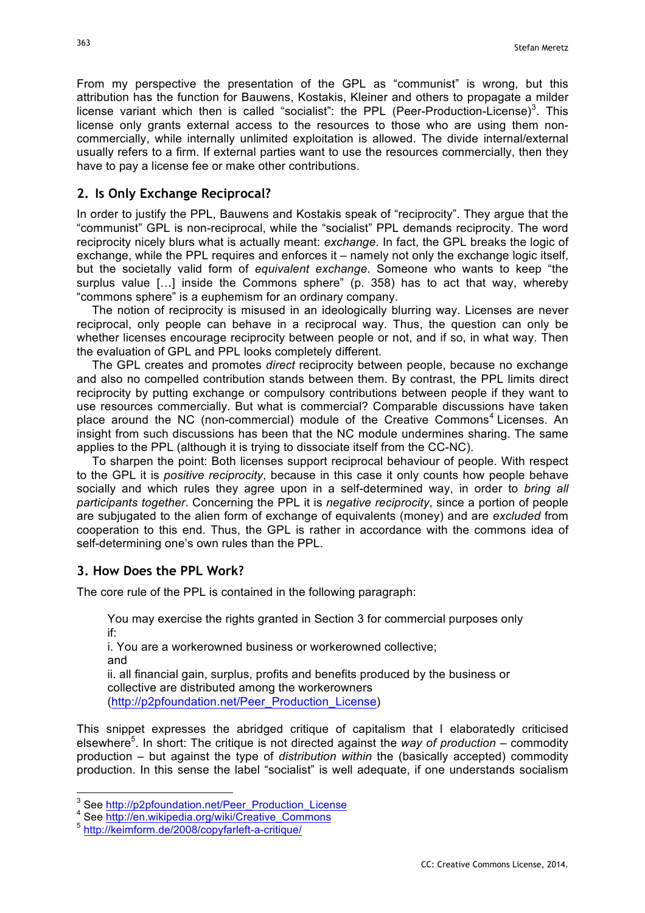From my perspective the presentation of the GPL as "communist" is wrong, but this attribution has the function for Bauwens, Kostakis, Kleiner and others to propagate a milder license variant which then is called "socialist": the PPL (Peer-Production-License)<sup>3</sup>. This license only grants external access to the resources to those who are using them noncommercially, while internally unlimited exploitation is allowed. The divide internal/external usually refers to a firm. If external parties want to use the resources commercially, then they have to pay a license fee or make other contributions.

## **2. Is Only Exchange Reciprocal?**

In order to justify the PPL, Bauwens and Kostakis speak of "reciprocity". They argue that the "communist" GPL is non-reciprocal, while the "socialist" PPL demands reciprocity. The word reciprocity nicely blurs what is actually meant: *exchange*. In fact, the GPL breaks the logic of exchange, while the PPL requires and enforces it – namely not only the exchange logic itself. but the societally valid form of *equivalent exchange*. Someone who wants to keep "the surplus value […] inside the Commons sphere" (p. 358) has to act that way, whereby "commons sphere" is a euphemism for an ordinary company.

The notion of reciprocity is misused in an ideologically blurring way. Licenses are never reciprocal, only people can behave in a reciprocal way. Thus, the question can only be whether licenses encourage reciprocity between people or not, and if so, in what way. Then the evaluation of GPL and PPL looks completely different.

The GPL creates and promotes *direct* reciprocity between people, because no exchange and also no compelled contribution stands between them. By contrast, the PPL limits direct reciprocity by putting exchange or compulsory contributions between people if they want to use resources commercially. But what is commercial? Comparable discussions have taken place around the NC (non-commercial) module of the Creative Commons<sup>4</sup> Licenses. An insight from such discussions has been that the NC module undermines sharing. The same applies to the PPL (although it is trying to dissociate itself from the CC-NC).

To sharpen the point: Both licenses support reciprocal behaviour of people. With respect to the GPL it is *positive reciprocity*, because in this case it only counts how people behave socially and which rules they agree upon in a self-determined way, in order to *bring all participants together*. Concerning the PPL it is *negative reciprocity*, since a portion of people are subjugated to the alien form of exchange of equivalents (money) and are *excluded* from cooperation to this end. Thus, the GPL is rather in accordance with the commons idea of self-determining one's own rules than the PPL.

## **3. How Does the PPL Work?**

The core rule of the PPL is contained in the following paragraph:

You may exercise the rights granted in Section 3 for commercial purposes only if:

i. You are a workerowned business or workerowned collective; and

ii. all financial gain, surplus, profits and benefits produced by the business or collective are distributed among the workerowners (http://p2pfoundation.net/Peer\_Production\_License)

This snippet expresses the abridged critique of capitalism that I elaboratedly criticised elsewhere<sup>5</sup>. In short: The critique is not directed against the way of production – commodity production – but against the type of *distribution within* the (basically accepted) commodity production. In this sense the label "socialist" is well adequate, if one understands socialism

<sup>&</sup>lt;sup>3</sup> See http://p2pfoundation.net/Peer\_Production\_License<br>
<sup>4</sup> See http://en.wikipedia.org/wiki/Creative\_Commons<br>
<sup>5</sup> http://keimform.de/2008/copyfarleft-a-critique/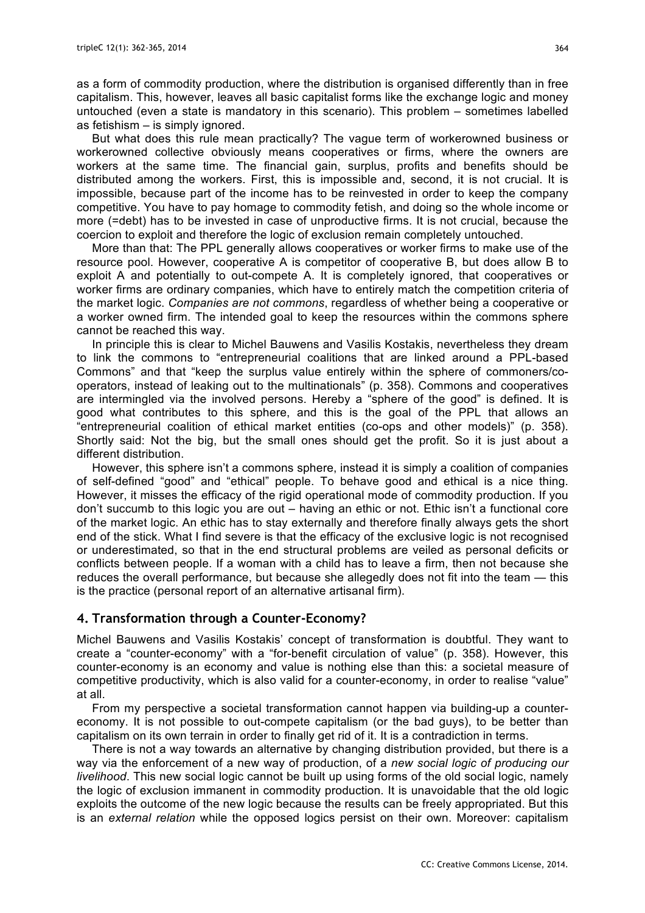as a form of commodity production, where the distribution is organised differently than in free capitalism. This, however, leaves all basic capitalist forms like the exchange logic and money untouched (even a state is mandatory in this scenario). This problem – sometimes labelled as fetishism – is simply ignored.

But what does this rule mean practically? The vague term of workerowned business or workerowned collective obviously means cooperatives or firms, where the owners are workers at the same time. The financial gain, surplus, profits and benefits should be distributed among the workers. First, this is impossible and, second, it is not crucial. It is impossible, because part of the income has to be reinvested in order to keep the company competitive. You have to pay homage to commodity fetish, and doing so the whole income or more (=debt) has to be invested in case of unproductive firms. It is not crucial, because the coercion to exploit and therefore the logic of exclusion remain completely untouched.

More than that: The PPL generally allows cooperatives or worker firms to make use of the resource pool. However, cooperative A is competitor of cooperative B, but does allow B to exploit A and potentially to out-compete A. It is completely ignored, that cooperatives or worker firms are ordinary companies, which have to entirely match the competition criteria of the market logic. *Companies are not commons*, regardless of whether being a cooperative or a worker owned firm. The intended goal to keep the resources within the commons sphere cannot be reached this way.

In principle this is clear to Michel Bauwens and Vasilis Kostakis, nevertheless they dream to link the commons to "entrepreneurial coalitions that are linked around a PPL-based Commons" and that "keep the surplus value entirely within the sphere of commoners/cooperators, instead of leaking out to the multinationals" (p. 358). Commons and cooperatives are intermingled via the involved persons. Hereby a "sphere of the good" is defined. It is good what contributes to this sphere, and this is the goal of the PPL that allows an "entrepreneurial coalition of ethical market entities (co-ops and other models)" (p. 358). Shortly said: Not the big, but the small ones should get the profit. So it is just about a different distribution.

However, this sphere isn't a commons sphere, instead it is simply a coalition of companies of self-defined "good" and "ethical" people. To behave good and ethical is a nice thing. However, it misses the efficacy of the rigid operational mode of commodity production. If you don't succumb to this logic you are out – having an ethic or not. Ethic isn't a functional core of the market logic. An ethic has to stay externally and therefore finally always gets the short end of the stick. What I find severe is that the efficacy of the exclusive logic is not recognised or underestimated, so that in the end structural problems are veiled as personal deficits or conflicts between people. If a woman with a child has to leave a firm, then not because she reduces the overall performance, but because she allegedly does not fit into the team — this is the practice (personal report of an alternative artisanal firm).

#### **4. Transformation through a Counter-Economy?**

Michel Bauwens and Vasilis Kostakis' concept of transformation is doubtful. They want to create a "counter-economy" with a "for-benefit circulation of value" (p. 358). However, this counter-economy is an economy and value is nothing else than this: a societal measure of competitive productivity, which is also valid for a counter-economy, in order to realise "value" at all.

From my perspective a societal transformation cannot happen via building-up a countereconomy. It is not possible to out-compete capitalism (or the bad guys), to be better than capitalism on its own terrain in order to finally get rid of it. It is a contradiction in terms.

There is not a way towards an alternative by changing distribution provided, but there is a way via the enforcement of a new way of production, of a *new social logic of producing our livelihood*. This new social logic cannot be built up using forms of the old social logic, namely the logic of exclusion immanent in commodity production. It is unavoidable that the old logic exploits the outcome of the new logic because the results can be freely appropriated. But this is an *external relation* while the opposed logics persist on their own. Moreover: capitalism